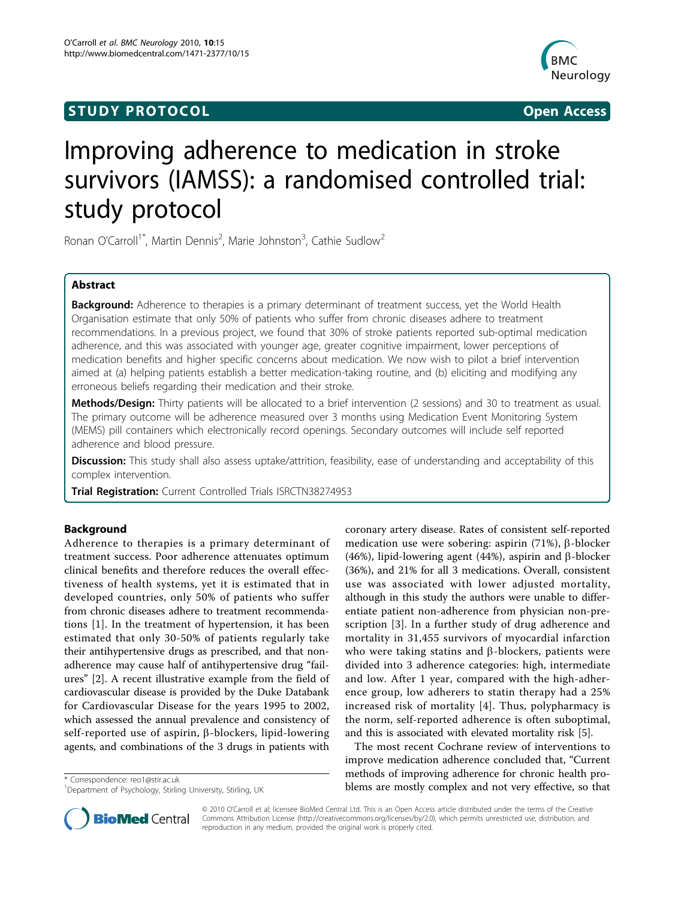## **STUDY PROTOCOL CONSUMING ACCESS**



# Improving adherence to medication in stroke survivors (IAMSS): a randomised controlled trial: study protocol

Ronan O'Carroll<sup>1\*</sup>, Martin Dennis<sup>2</sup>, Marie Johnston<sup>3</sup>, Cathie Sudlow<sup>2</sup>

## Abstract

Background: Adherence to therapies is a primary determinant of treatment success, yet the World Health Organisation estimate that only 50% of patients who suffer from chronic diseases adhere to treatment recommendations. In a previous project, we found that 30% of stroke patients reported sub-optimal medication adherence, and this was associated with younger age, greater cognitive impairment, lower perceptions of medication benefits and higher specific concerns about medication. We now wish to pilot a brief intervention aimed at (a) helping patients establish a better medication-taking routine, and (b) eliciting and modifying any erroneous beliefs regarding their medication and their stroke.

Methods/Design: Thirty patients will be allocated to a brief intervention (2 sessions) and 30 to treatment as usual. The primary outcome will be adherence measured over 3 months using Medication Event Monitoring System (MEMS) pill containers which electronically record openings. Secondary outcomes will include self reported adherence and blood pressure.

**Discussion:** This study shall also assess uptake/attrition, feasibility, ease of understanding and acceptability of this complex intervention.

Trial Registration: Current Controlled Trials ISRCTN38274953

## Background

Adherence to therapies is a primary determinant of treatment success. Poor adherence attenuates optimum clinical benefits and therefore reduces the overall effectiveness of health systems, yet it is estimated that in developed countries, only 50% of patients who suffer from chronic diseases adhere to treatment recommendations [\[1](#page-7-0)]. In the treatment of hypertension, it has been estimated that only 30-50% of patients regularly take their antihypertensive drugs as prescribed, and that nonadherence may cause half of antihypertensive drug "failures" [\[2](#page-7-0)]. A recent illustrative example from the field of cardiovascular disease is provided by the Duke Databank for Cardiovascular Disease for the years 1995 to 2002, which assessed the annual prevalence and consistency of self-reported use of aspirin,  $\beta$ -blockers, lipid-lowering agents, and combinations of the 3 drugs in patients with



The most recent Cochrane review of interventions to improve medication adherence concluded that, "Current methods of improving adherence for chronic health proExpressiondence: [reo1@stir.ac.uk](mailto:reo1@stir.ac.uk)<br>
blems are mostly complex and not very effective, so that \* blems are mostly complex and not very effective, so that \*



© 2010 O'Carroll et al; licensee BioMed Central Ltd. This is an Open Access article distributed under the terms of the Creative Commons Attribution License [\(http://creativecommons.org/licenses/by/2.0](http://creativecommons.org/licenses/by/2.0)), which permits unrestricted use, distribution, and reproduction in any medium, provided the original work is properly cited.

<sup>&</sup>lt;sup>1</sup>Department of Psychology, Stirling University, Stirling, UK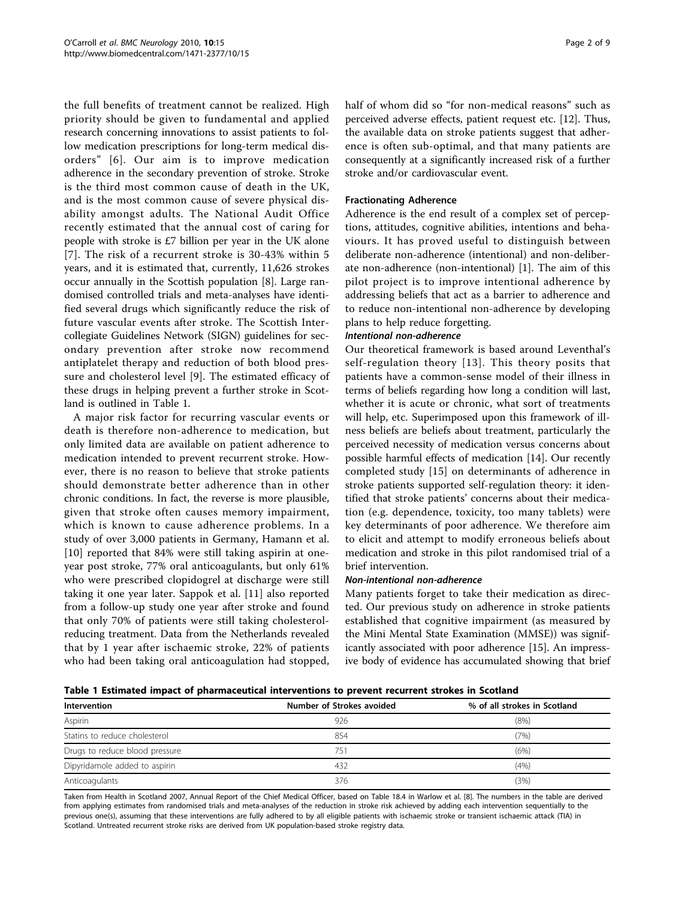the full benefits of treatment cannot be realized. High priority should be given to fundamental and applied research concerning innovations to assist patients to follow medication prescriptions for long-term medical disorders" [[6](#page-7-0)]. Our aim is to improve medication adherence in the secondary prevention of stroke. Stroke is the third most common cause of death in the UK, and is the most common cause of severe physical disability amongst adults. The National Audit Office recently estimated that the annual cost of caring for people with stroke is £7 billion per year in the UK alone [[7](#page-7-0)]. The risk of a recurrent stroke is 30-43% within 5 years, and it is estimated that, currently, 11,626 strokes occur annually in the Scottish population [\[8\]](#page-7-0). Large randomised controlled trials and meta-analyses have identified several drugs which significantly reduce the risk of future vascular events after stroke. The Scottish Intercollegiate Guidelines Network (SIGN) guidelines for secondary prevention after stroke now recommend antiplatelet therapy and reduction of both blood pressure and cholesterol level [[9\]](#page-7-0). The estimated efficacy of these drugs in helping prevent a further stroke in Scotland is outlined in Table 1.

A major risk factor for recurring vascular events or death is therefore non-adherence to medication, but only limited data are available on patient adherence to medication intended to prevent recurrent stroke. However, there is no reason to believe that stroke patients should demonstrate better adherence than in other chronic conditions. In fact, the reverse is more plausible, given that stroke often causes memory impairment, which is known to cause adherence problems. In a study of over 3,000 patients in Germany, Hamann et al. [[10](#page-7-0)] reported that 84% were still taking aspirin at oneyear post stroke, 77% oral anticoagulants, but only 61% who were prescribed clopidogrel at discharge were still taking it one year later. Sappok et al. [[11](#page-7-0)] also reported from a follow-up study one year after stroke and found that only 70% of patients were still taking cholesterolreducing treatment. Data from the Netherlands revealed that by 1 year after ischaemic stroke, 22% of patients who had been taking oral anticoagulation had stopped, half of whom did so "for non-medical reasons" such as perceived adverse effects, patient request etc. [\[12\]](#page-7-0). Thus, the available data on stroke patients suggest that adherence is often sub-optimal, and that many patients are consequently at a significantly increased risk of a further stroke and/or cardiovascular event.

## Fractionating Adherence

Adherence is the end result of a complex set of perceptions, attitudes, cognitive abilities, intentions and behaviours. It has proved useful to distinguish between deliberate non-adherence (intentional) and non-deliberate non-adherence (non-intentional) [[1\]](#page-7-0). The aim of this pilot project is to improve intentional adherence by addressing beliefs that act as a barrier to adherence and to reduce non-intentional non-adherence by developing plans to help reduce forgetting.

#### Intentional non-adherence

Our theoretical framework is based around Leventhal's self-regulation theory [[13](#page-7-0)]. This theory posits that patients have a common-sense model of their illness in terms of beliefs regarding how long a condition will last, whether it is acute or chronic, what sort of treatments will help, etc. Superimposed upon this framework of illness beliefs are beliefs about treatment, particularly the perceived necessity of medication versus concerns about possible harmful effects of medication [[14\]](#page-7-0). Our recently completed study [[15\]](#page-7-0) on determinants of adherence in stroke patients supported self-regulation theory: it identified that stroke patients' concerns about their medication (e.g. dependence, toxicity, too many tablets) were key determinants of poor adherence. We therefore aim to elicit and attempt to modify erroneous beliefs about medication and stroke in this pilot randomised trial of a brief intervention.

#### Non-intentional non-adherence

Many patients forget to take their medication as directed. Our previous study on adherence in stroke patients established that cognitive impairment (as measured by the Mini Mental State Examination (MMSE)) was significantly associated with poor adherence [[15\]](#page-7-0). An impressive body of evidence has accumulated showing that brief

Table 1 Estimated impact of pharmaceutical interventions to prevent recurrent strokes in Scotland

| Intervention                   | Number of Strokes avoided | % of all strokes in Scotland |
|--------------------------------|---------------------------|------------------------------|
| Aspirin                        | 926                       | (8%)                         |
| Statins to reduce cholesterol  | 854                       | (7%)                         |
| Drugs to reduce blood pressure | 751                       | (6%)                         |
| Dipyridamole added to aspirin  | 432                       | (4% )                        |
| Anticoagulants                 | 376                       | (3%)                         |

Taken from Health in Scotland 2007, Annual Report of the Chief Medical Officer, based on Table 18.4 in Warlow et al. [\[8\]](#page-7-0). The numbers in the table are derived from applying estimates from randomised trials and meta-analyses of the reduction in stroke risk achieved by adding each intervention sequentially to the previous one(s), assuming that these interventions are fully adhered to by all eligible patients with ischaemic stroke or transient ischaemic attack (TIA) in Scotland. Untreated recurrent stroke risks are derived from UK population-based stroke registry data.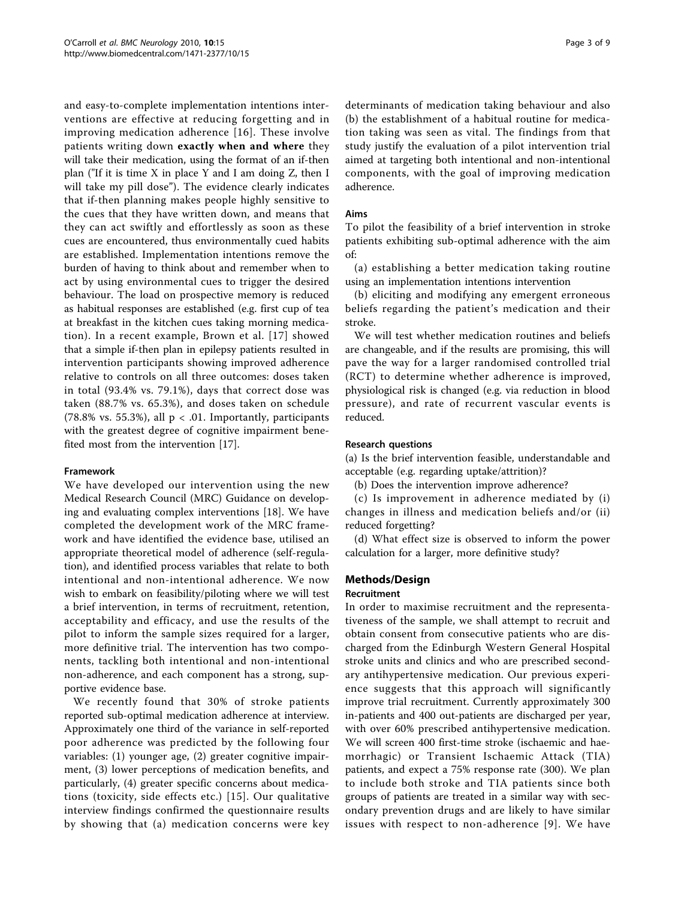and easy-to-complete implementation intentions interventions are effective at reducing forgetting and in improving medication adherence [[16](#page-7-0)]. These involve patients writing down exactly when and where they will take their medication, using the format of an if-then plan ("If it is time X in place Y and I am doing Z, then I will take my pill dose"). The evidence clearly indicates that if-then planning makes people highly sensitive to the cues that they have written down, and means that they can act swiftly and effortlessly as soon as these cues are encountered, thus environmentally cued habits are established. Implementation intentions remove the burden of having to think about and remember when to act by using environmental cues to trigger the desired behaviour. The load on prospective memory is reduced as habitual responses are established (e.g. first cup of tea at breakfast in the kitchen cues taking morning medication). In a recent example, Brown et al. [[17](#page-7-0)] showed that a simple if-then plan in epilepsy patients resulted in intervention participants showing improved adherence relative to controls on all three outcomes: doses taken in total (93.4% vs. 79.1%), days that correct dose was taken (88.7% vs. 65.3%), and doses taken on schedule (78.8% vs. 55.3%), all  $p < .01$ . Importantly, participants with the greatest degree of cognitive impairment benefited most from the intervention [\[17](#page-7-0)].

#### Framework

We have developed our intervention using the new Medical Research Council (MRC) Guidance on developing and evaluating complex interventions [\[18](#page-7-0)]. We have completed the development work of the MRC framework and have identified the evidence base, utilised an appropriate theoretical model of adherence (self-regulation), and identified process variables that relate to both intentional and non-intentional adherence. We now wish to embark on feasibility/piloting where we will test a brief intervention, in terms of recruitment, retention, acceptability and efficacy, and use the results of the pilot to inform the sample sizes required for a larger, more definitive trial. The intervention has two components, tackling both intentional and non-intentional non-adherence, and each component has a strong, supportive evidence base.

We recently found that 30% of stroke patients reported sub-optimal medication adherence at interview. Approximately one third of the variance in self-reported poor adherence was predicted by the following four variables: (1) younger age, (2) greater cognitive impairment, (3) lower perceptions of medication benefits, and particularly, (4) greater specific concerns about medications (toxicity, side effects etc.) [[15](#page-7-0)]. Our qualitative interview findings confirmed the questionnaire results by showing that (a) medication concerns were key determinants of medication taking behaviour and also (b) the establishment of a habitual routine for medication taking was seen as vital. The findings from that study justify the evaluation of a pilot intervention trial aimed at targeting both intentional and non-intentional components, with the goal of improving medication adherence.

#### Aims

To pilot the feasibility of a brief intervention in stroke patients exhibiting sub-optimal adherence with the aim of:

(a) establishing a better medication taking routine using an implementation intentions intervention

(b) eliciting and modifying any emergent erroneous beliefs regarding the patient's medication and their stroke.

We will test whether medication routines and beliefs are changeable, and if the results are promising, this will pave the way for a larger randomised controlled trial (RCT) to determine whether adherence is improved, physiological risk is changed (e.g. via reduction in blood pressure), and rate of recurrent vascular events is reduced.

#### Research questions

(a) Is the brief intervention feasible, understandable and acceptable (e.g. regarding uptake/attrition)?

(b) Does the intervention improve adherence?

(c) Is improvement in adherence mediated by (i) changes in illness and medication beliefs and/or (ii) reduced forgetting?

(d) What effect size is observed to inform the power calculation for a larger, more definitive study?

## Methods/Design

#### Recruitment

In order to maximise recruitment and the representativeness of the sample, we shall attempt to recruit and obtain consent from consecutive patients who are discharged from the Edinburgh Western General Hospital stroke units and clinics and who are prescribed secondary antihypertensive medication. Our previous experience suggests that this approach will significantly improve trial recruitment. Currently approximately 300 in-patients and 400 out-patients are discharged per year, with over 60% prescribed antihypertensive medication. We will screen 400 first-time stroke (ischaemic and haemorrhagic) or Transient Ischaemic Attack (TIA) patients, and expect a 75% response rate (300). We plan to include both stroke and TIA patients since both groups of patients are treated in a similar way with secondary prevention drugs and are likely to have similar issues with respect to non-adherence [[9](#page-7-0)]. We have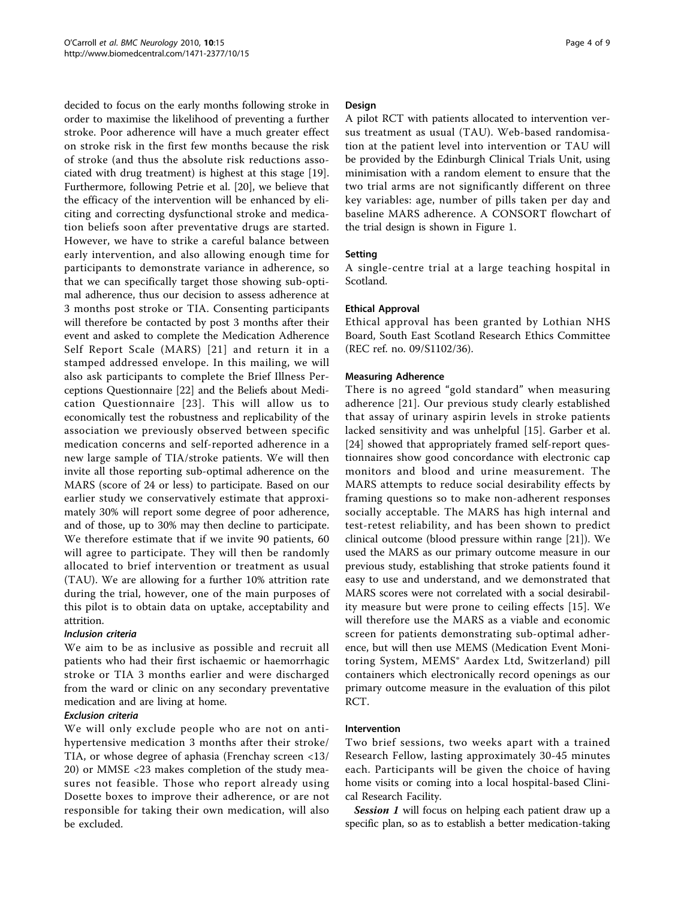decided to focus on the early months following stroke in order to maximise the likelihood of preventing a further stroke. Poor adherence will have a much greater effect on stroke risk in the first few months because the risk of stroke (and thus the absolute risk reductions associated with drug treatment) is highest at this stage [\[19](#page-7-0)]. Furthermore, following Petrie et al. [[20\]](#page-7-0), we believe that the efficacy of the intervention will be enhanced by eliciting and correcting dysfunctional stroke and medication beliefs soon after preventative drugs are started. However, we have to strike a careful balance between early intervention, and also allowing enough time for participants to demonstrate variance in adherence, so that we can specifically target those showing sub-optimal adherence, thus our decision to assess adherence at 3 months post stroke or TIA. Consenting participants will therefore be contacted by post 3 months after their event and asked to complete the Medication Adherence Self Report Scale (MARS) [[21](#page-7-0)] and return it in a stamped addressed envelope. In this mailing, we will also ask participants to complete the Brief Illness Perceptions Questionnaire [[22](#page-7-0)] and the Beliefs about Medication Questionnaire [[23\]](#page-7-0). This will allow us to economically test the robustness and replicability of the association we previously observed between specific medication concerns and self-reported adherence in a new large sample of TIA/stroke patients. We will then invite all those reporting sub-optimal adherence on the MARS (score of 24 or less) to participate. Based on our earlier study we conservatively estimate that approximately 30% will report some degree of poor adherence, and of those, up to 30% may then decline to participate. We therefore estimate that if we invite 90 patients, 60 will agree to participate. They will then be randomly allocated to brief intervention or treatment as usual (TAU). We are allowing for a further 10% attrition rate during the trial, however, one of the main purposes of this pilot is to obtain data on uptake, acceptability and attrition.

## Inclusion criteria

We aim to be as inclusive as possible and recruit all patients who had their first ischaemic or haemorrhagic stroke or TIA 3 months earlier and were discharged from the ward or clinic on any secondary preventative medication and are living at home.

## Exclusion criteria

We will only exclude people who are not on antihypertensive medication 3 months after their stroke/ TIA, or whose degree of aphasia (Frenchay screen <13/ 20) or MMSE <23 makes completion of the study measures not feasible. Those who report already using Dosette boxes to improve their adherence, or are not responsible for taking their own medication, will also be excluded.

#### Design

A pilot RCT with patients allocated to intervention versus treatment as usual (TAU). Web-based randomisation at the patient level into intervention or TAU will be provided by the Edinburgh Clinical Trials Unit, using minimisation with a random element to ensure that the two trial arms are not significantly different on three key variables: age, number of pills taken per day and baseline MARS adherence. A CONSORT flowchart of the trial design is shown in Figure [1.](#page-4-0)

#### **Setting**

A single-centre trial at a large teaching hospital in Scotland.

#### Ethical Approval

Ethical approval has been granted by Lothian NHS Board, South East Scotland Research Ethics Committee (REC ref. no. 09/S1102/36).

#### Measuring Adherence

There is no agreed "gold standard" when measuring adherence [[21](#page-7-0)]. Our previous study clearly established that assay of urinary aspirin levels in stroke patients lacked sensitivity and was unhelpful [[15\]](#page-7-0). Garber et al. [[24\]](#page-7-0) showed that appropriately framed self-report questionnaires show good concordance with electronic cap monitors and blood and urine measurement. The MARS attempts to reduce social desirability effects by framing questions so to make non-adherent responses socially acceptable. The MARS has high internal and test-retest reliability, and has been shown to predict clinical outcome (blood pressure within range [[21](#page-7-0)]). We used the MARS as our primary outcome measure in our previous study, establishing that stroke patients found it easy to use and understand, and we demonstrated that MARS scores were not correlated with a social desirability measure but were prone to ceiling effects [[15\]](#page-7-0). We will therefore use the MARS as a viable and economic screen for patients demonstrating sub-optimal adherence, but will then use MEMS (Medication Event Monitoring System, MEMS® Aardex Ltd, Switzerland) pill containers which electronically record openings as our primary outcome measure in the evaluation of this pilot RCT.

#### Intervention

Two brief sessions, two weeks apart with a trained Research Fellow, lasting approximately 30-45 minutes each. Participants will be given the choice of having home visits or coming into a local hospital-based Clinical Research Facility.

Session 1 will focus on helping each patient draw up a specific plan, so as to establish a better medication-taking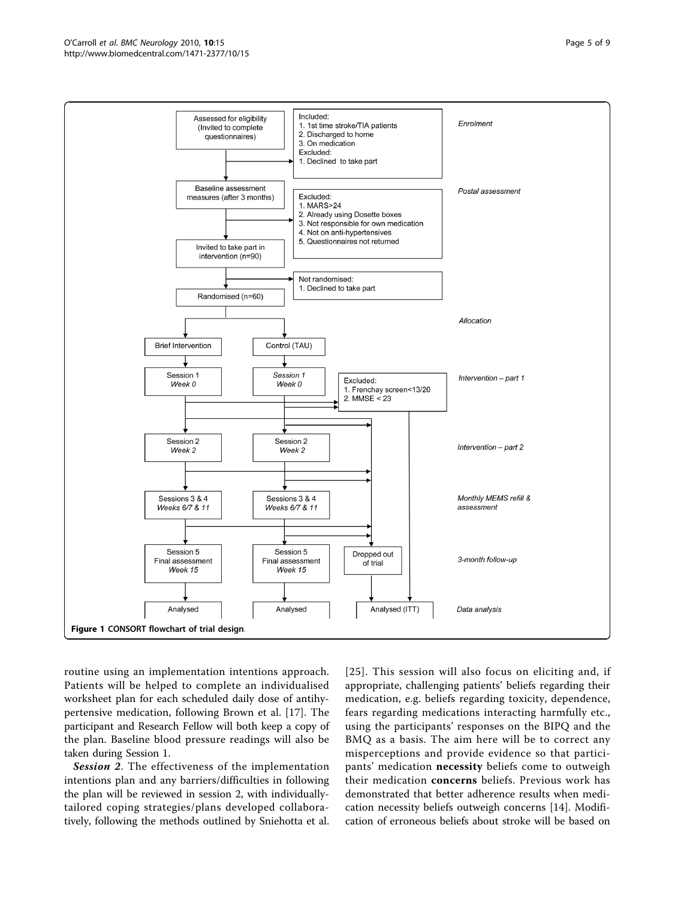<span id="page-4-0"></span>

routine using an implementation intentions approach. Patients will be helped to complete an individualised worksheet plan for each scheduled daily dose of antihypertensive medication, following Brown et al. [[17](#page-7-0)]. The participant and Research Fellow will both keep a copy of the plan. Baseline blood pressure readings will also be taken during Session 1.

Session 2. The effectiveness of the implementation intentions plan and any barriers/difficulties in following the plan will be reviewed in session 2, with individuallytailored coping strategies/plans developed collaboratively, following the methods outlined by Sniehotta et al.

[[25\]](#page-7-0). This session will also focus on eliciting and, if appropriate, challenging patients' beliefs regarding their medication, e.g. beliefs regarding toxicity, dependence, fears regarding medications interacting harmfully etc., using the participants' responses on the BIPQ and the BMQ as a basis. The aim here will be to correct any misperceptions and provide evidence so that participants' medication necessity beliefs come to outweigh their medication concerns beliefs. Previous work has demonstrated that better adherence results when medication necessity beliefs outweigh concerns [\[14](#page-7-0)]. Modification of erroneous beliefs about stroke will be based on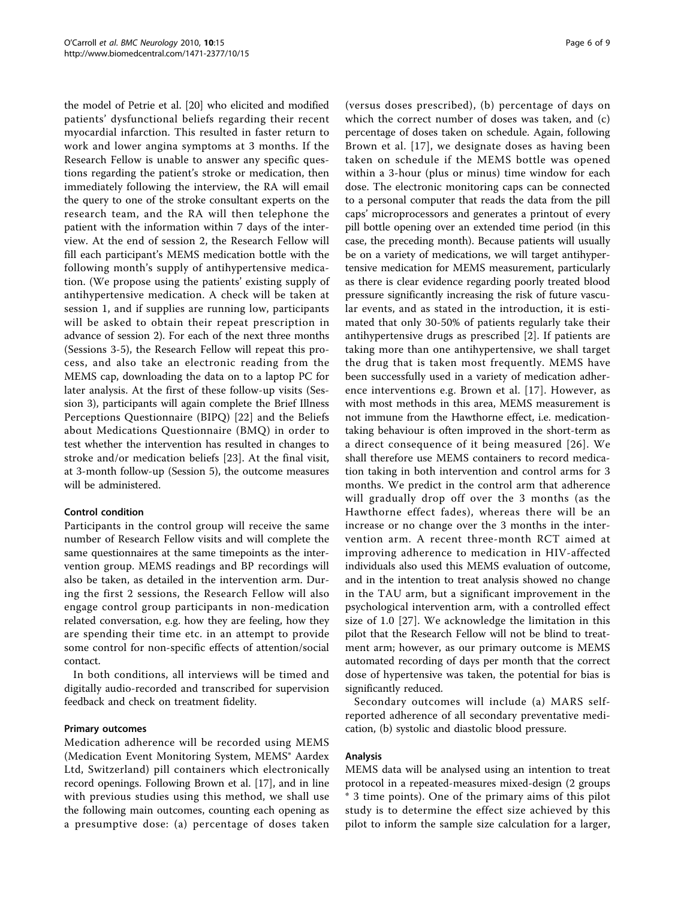the model of Petrie et al. [[20](#page-7-0)] who elicited and modified patients' dysfunctional beliefs regarding their recent myocardial infarction. This resulted in faster return to work and lower angina symptoms at 3 months. If the Research Fellow is unable to answer any specific questions regarding the patient's stroke or medication, then immediately following the interview, the RA will email the query to one of the stroke consultant experts on the research team, and the RA will then telephone the patient with the information within 7 days of the interview. At the end of session 2, the Research Fellow will fill each participant's MEMS medication bottle with the following month's supply of antihypertensive medication. (We propose using the patients' existing supply of antihypertensive medication. A check will be taken at session 1, and if supplies are running low, participants will be asked to obtain their repeat prescription in advance of session 2). For each of the next three months (Sessions 3-5), the Research Fellow will repeat this process, and also take an electronic reading from the MEMS cap, downloading the data on to a laptop PC for later analysis. At the first of these follow-up visits (Session 3), participants will again complete the Brief Illness Perceptions Questionnaire (BIPQ) [[22](#page-7-0)] and the Beliefs about Medications Questionnaire (BMQ) in order to test whether the intervention has resulted in changes to stroke and/or medication beliefs [\[23](#page-7-0)]. At the final visit, at 3-month follow-up (Session 5), the outcome measures will be administered.

## Control condition

Participants in the control group will receive the same number of Research Fellow visits and will complete the same questionnaires at the same timepoints as the intervention group. MEMS readings and BP recordings will also be taken, as detailed in the intervention arm. During the first 2 sessions, the Research Fellow will also engage control group participants in non-medication related conversation, e.g. how they are feeling, how they are spending their time etc. in an attempt to provide some control for non-specific effects of attention/social contact.

In both conditions, all interviews will be timed and digitally audio-recorded and transcribed for supervision feedback and check on treatment fidelity.

#### Primary outcomes

Medication adherence will be recorded using MEMS (Medication Event Monitoring System, MEMS® Aardex Ltd, Switzerland) pill containers which electronically record openings. Following Brown et al. [[17\]](#page-7-0), and in line with previous studies using this method, we shall use the following main outcomes, counting each opening as a presumptive dose: (a) percentage of doses taken

(versus doses prescribed), (b) percentage of days on which the correct number of doses was taken, and (c) percentage of doses taken on schedule. Again, following Brown et al. [[17](#page-7-0)], we designate doses as having been taken on schedule if the MEMS bottle was opened within a 3-hour (plus or minus) time window for each dose. The electronic monitoring caps can be connected to a personal computer that reads the data from the pill caps' microprocessors and generates a printout of every pill bottle opening over an extended time period (in this case, the preceding month). Because patients will usually be on a variety of medications, we will target antihypertensive medication for MEMS measurement, particularly as there is clear evidence regarding poorly treated blood pressure significantly increasing the risk of future vascular events, and as stated in the introduction, it is estimated that only 30-50% of patients regularly take their antihypertensive drugs as prescribed [[2\]](#page-7-0). If patients are taking more than one antihypertensive, we shall target the drug that is taken most frequently. MEMS have been successfully used in a variety of medication adherence interventions e.g. Brown et al. [\[17\]](#page-7-0). However, as with most methods in this area, MEMS measurement is not immune from the Hawthorne effect, i.e. medicationtaking behaviour is often improved in the short-term as a direct consequence of it being measured [\[26](#page-8-0)]. We shall therefore use MEMS containers to record medication taking in both intervention and control arms for 3 months. We predict in the control arm that adherence will gradually drop off over the 3 months (as the Hawthorne effect fades), whereas there will be an increase or no change over the 3 months in the intervention arm. A recent three-month RCT aimed at improving adherence to medication in HIV-affected individuals also used this MEMS evaluation of outcome, and in the intention to treat analysis showed no change in the TAU arm, but a significant improvement in the psychological intervention arm, with a controlled effect size of 1.0 [[27](#page-8-0)]. We acknowledge the limitation in this pilot that the Research Fellow will not be blind to treatment arm; however, as our primary outcome is MEMS automated recording of days per month that the correct dose of hypertensive was taken, the potential for bias is significantly reduced.

Secondary outcomes will include (a) MARS selfreported adherence of all secondary preventative medication, (b) systolic and diastolic blood pressure.

## Analysis

MEMS data will be analysed using an intention to treat protocol in a repeated-measures mixed-design (2 groups \* 3 time points). One of the primary aims of this pilot study is to determine the effect size achieved by this pilot to inform the sample size calculation for a larger,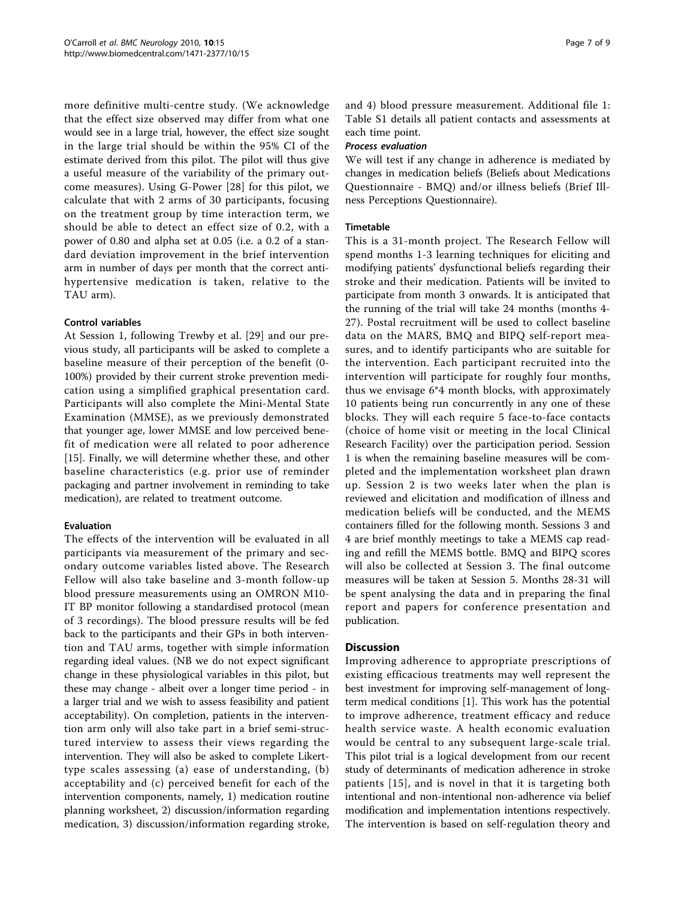more definitive multi-centre study. (We acknowledge that the effect size observed may differ from what one would see in a large trial, however, the effect size sought in the large trial should be within the 95% CI of the estimate derived from this pilot. The pilot will thus give a useful measure of the variability of the primary outcome measures). Using G-Power [[28\]](#page-8-0) for this pilot, we calculate that with 2 arms of 30 participants, focusing on the treatment group by time interaction term, we should be able to detect an effect size of 0.2, with a power of 0.80 and alpha set at 0.05 (i.e. a 0.2 of a standard deviation improvement in the brief intervention arm in number of days per month that the correct antihypertensive medication is taken, relative to the TAU arm).

## Control variables

At Session 1, following Trewby et al. [[29\]](#page-8-0) and our previous study, all participants will be asked to complete a baseline measure of their perception of the benefit (0- 100%) provided by their current stroke prevention medication using a simplified graphical presentation card. Participants will also complete the Mini-Mental State Examination (MMSE), as we previously demonstrated that younger age, lower MMSE and low perceived benefit of medication were all related to poor adherence [[15\]](#page-7-0). Finally, we will determine whether these, and other baseline characteristics (e.g. prior use of reminder packaging and partner involvement in reminding to take medication), are related to treatment outcome.

## Evaluation

The effects of the intervention will be evaluated in all participants via measurement of the primary and secondary outcome variables listed above. The Research Fellow will also take baseline and 3-month follow-up blood pressure measurements using an OMRON M10- IT BP monitor following a standardised protocol (mean of 3 recordings). The blood pressure results will be fed back to the participants and their GPs in both intervention and TAU arms, together with simple information regarding ideal values. (NB we do not expect significant change in these physiological variables in this pilot, but these may change - albeit over a longer time period - in a larger trial and we wish to assess feasibility and patient acceptability). On completion, patients in the intervention arm only will also take part in a brief semi-structured interview to assess their views regarding the intervention. They will also be asked to complete Likerttype scales assessing (a) ease of understanding, (b) acceptability and (c) perceived benefit for each of the intervention components, namely, 1) medication routine planning worksheet, 2) discussion/information regarding medication, 3) discussion/information regarding stroke, and 4) blood pressure measurement. Additional file [1](#page-7-0): Table S1 details all patient contacts and assessments at each time point.

#### Process evaluation

We will test if any change in adherence is mediated by changes in medication beliefs (Beliefs about Medications Questionnaire - BMQ) and/or illness beliefs (Brief Illness Perceptions Questionnaire).

#### Timetable

This is a 31-month project. The Research Fellow will spend months 1-3 learning techniques for eliciting and modifying patients' dysfunctional beliefs regarding their stroke and their medication. Patients will be invited to participate from month 3 onwards. It is anticipated that the running of the trial will take 24 months (months 4- 27). Postal recruitment will be used to collect baseline data on the MARS, BMQ and BIPQ self-report measures, and to identify participants who are suitable for the intervention. Each participant recruited into the intervention will participate for roughly four months, thus we envisage 6\*4 month blocks, with approximately 10 patients being run concurrently in any one of these blocks. They will each require 5 face-to-face contacts (choice of home visit or meeting in the local Clinical Research Facility) over the participation period. Session 1 is when the remaining baseline measures will be completed and the implementation worksheet plan drawn up. Session 2 is two weeks later when the plan is reviewed and elicitation and modification of illness and medication beliefs will be conducted, and the MEMS containers filled for the following month. Sessions 3 and 4 are brief monthly meetings to take a MEMS cap reading and refill the MEMS bottle. BMQ and BIPQ scores will also be collected at Session 3. The final outcome measures will be taken at Session 5. Months 28-31 will be spent analysing the data and in preparing the final report and papers for conference presentation and publication.

#### **Discussion**

Improving adherence to appropriate prescriptions of existing efficacious treatments may well represent the best investment for improving self-management of longterm medical conditions [\[1](#page-7-0)]. This work has the potential to improve adherence, treatment efficacy and reduce health service waste. A health economic evaluation would be central to any subsequent large-scale trial. This pilot trial is a logical development from our recent study of determinants of medication adherence in stroke patients [[15\]](#page-7-0), and is novel in that it is targeting both intentional and non-intentional non-adherence via belief modification and implementation intentions respectively. The intervention is based on self-regulation theory and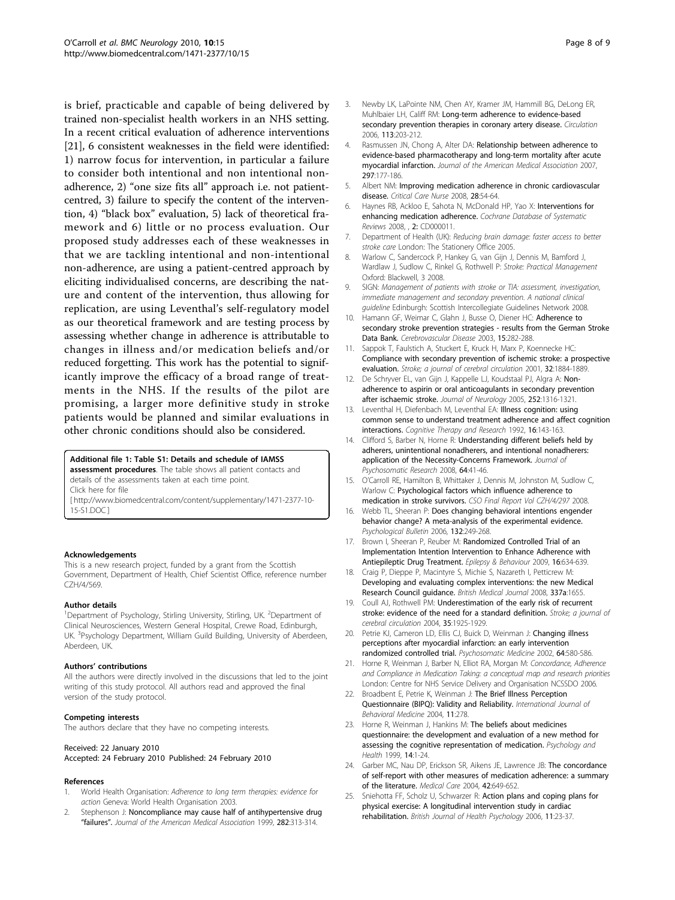<span id="page-7-0"></span>is brief, practicable and capable of being delivered by trained non-specialist health workers in an NHS setting. In a recent critical evaluation of adherence interventions [21], 6 consistent weaknesses in the field were identified: 1) narrow focus for intervention, in particular a failure to consider both intentional and non intentional nonadherence, 2) "one size fits all" approach i.e. not patientcentred, 3) failure to specify the content of the intervention, 4) "black box" evaluation, 5) lack of theoretical framework and 6) little or no process evaluation. Our proposed study addresses each of these weaknesses in that we are tackling intentional and non-intentional non-adherence, are using a patient-centred approach by eliciting individualised concerns, are describing the nature and content of the intervention, thus allowing for replication, are using Leventhal's self-regulatory model as our theoretical framework and are testing process by assessing whether change in adherence is attributable to changes in illness and/or medication beliefs and/or reduced forgetting. This work has the potential to significantly improve the efficacy of a broad range of treatments in the NHS. If the results of the pilot are promising, a larger more definitive study in stroke patients would be planned and similar evaluations in other chronic conditions should also be considered.

Additional file 1: Table S1: Details and schedule of IAMSS assessment procedures. The table shows all patient contacts and details of the assessments taken at each time point. Click here for file [ http://www.biomedcentral.com/content/supplementary/1471-2377-10- 15-S1.DOC ]

#### Acknowledgements

This is a new research project, funded by a grant from the Scottish Government, Department of Health, Chief Scientist Office, reference number CZH/4/569.

#### Author details

<sup>1</sup>Department of Psychology, Stirling University, Stirling, UK.<sup>2</sup>Department of Clinical Neurosciences, Western General Hospital, Crewe Road, Edinburgh, UK. <sup>3</sup>Psychology Department, William Guild Building, University of Aberdeen, Aberdeen, UK.

#### Authors' contributions

All the authors were directly involved in the discussions that led to the joint writing of this study protocol. All authors read and approved the final version of the study protocol.

#### Competing interests

The authors declare that they have no competing interests.

#### Received: 22 January 2010 Accepted: 24 February 2010 Published: 24 February 2010

#### References

- 1. World Health Organisation: Adherence to long term therapies: evidence for action Geneva: World Health Organisation 2003.
- 2. Stephenson J: [Noncompliance may cause half of antihypertensive drug](http://www.ncbi.nlm.nih.gov/pubmed/10432015?dopt=Abstract) "[failures](http://www.ncbi.nlm.nih.gov/pubmed/10432015?dopt=Abstract)". Journal of the American Medical Association 1999, 282:313-314.
- 3. Newby LK, LaPointe NM, Chen AY, Kramer JM, Hammill BG, DeLong ER, Muhlbaier LH, Califf RM: [Long-term adherence to evidence-based](http://www.ncbi.nlm.nih.gov/pubmed/16401776?dopt=Abstract) [secondary prevention therapies in coronary artery disease.](http://www.ncbi.nlm.nih.gov/pubmed/16401776?dopt=Abstract) Circulation 2006, 113:203-212.
- 4. Rasmussen JN, Chong A, Alter DA: [Relationship between adherence to](http://www.ncbi.nlm.nih.gov/pubmed/17213401?dopt=Abstract) [evidence-based pharmacotherapy and long-term mortality after acute](http://www.ncbi.nlm.nih.gov/pubmed/17213401?dopt=Abstract) [myocardial infarction.](http://www.ncbi.nlm.nih.gov/pubmed/17213401?dopt=Abstract) Journal of the American Medical Association 2007, 297:177-186.
- 5. Albert NM: [Improving medication adherence in chronic cardiovascular](http://www.ncbi.nlm.nih.gov/pubmed/18827087?dopt=Abstract) [disease.](http://www.ncbi.nlm.nih.gov/pubmed/18827087?dopt=Abstract) Critical Care Nurse 2008, 28:54-64.
- 6. Haynes RB, Ackloo E, Sahota N, McDonald HP, Yao X: Interventions for enhancing medication adherence. Cochrane Database of Systematic Reviews 2008, , 2: CD000011.
- 7. Department of Health (UK): Reducing brain damage: faster access to better stroke care London: The Stationery Office 2005.
- Warlow C, Sandercock P, Hankey G, van Gijn J, Dennis M, Bamford J, Wardlaw J, Sudlow C, Rinkel G, Rothwell P: Stroke: Practical Management Oxford: Blackwell, 3 2008.
- 9. SIGN: Management of patients with stroke or TIA: assessment, investigation, immediate management and secondary prevention. A national clinical guideline Edinburgh: Scottish Intercollegiate Guidelines Network 2008.
- 10. Hamann GF, Weimar C, Glahn J, Busse O, Diener HC: Adherence to secondary stroke prevention strategies - results from the German Stroke Data Bank. Cerebrovascular Disease 2003, 15:282-288.
- 11. Sappok T, Faulstich A, Stuckert E, Kruck H, Marx P, Koennecke HC: [Compliance with secondary prevention of ischemic stroke: a prospective](http://www.ncbi.nlm.nih.gov/pubmed/11486121?dopt=Abstract) [evaluation.](http://www.ncbi.nlm.nih.gov/pubmed/11486121?dopt=Abstract) Stroke; a journal of cerebral circulation 2001, 32:1884-1889.
- 12. De Schryver EL, van Gijn J, Kappelle LJ, Koudstaal PJ, Algra A: [Non](http://www.ncbi.nlm.nih.gov/pubmed/15868068?dopt=Abstract)[adherence to aspirin or oral anticoagulants in secondary prevention](http://www.ncbi.nlm.nih.gov/pubmed/15868068?dopt=Abstract) [after ischaemic stroke.](http://www.ncbi.nlm.nih.gov/pubmed/15868068?dopt=Abstract) Journal of Neurology 2005, 252:1316-1321.
- 13. Leventhal H, Diefenbach M, Leventhal EA: Illness cognition: using common sense to understand treatment adherence and affect cognition interactions. Cognitive Therapy and Research 1992, 16:143-163.
- 14. Clifford S, Barber N, Horne R: [Understanding different beliefs held by](http://www.ncbi.nlm.nih.gov/pubmed/18157998?dopt=Abstract) [adherers, unintentional nonadherers, and intentional nonadherers:](http://www.ncbi.nlm.nih.gov/pubmed/18157998?dopt=Abstract) [application of the Necessity-Concerns Framework.](http://www.ncbi.nlm.nih.gov/pubmed/18157998?dopt=Abstract) Journal of Psychosomatic Research 2008, 64:41-46.
- 15. O'Carroll RE, Hamilton B, Whittaker J, Dennis M, Johnston M, Sudlow C, Warlow C: Psychological factors which influence adherence to medication in stroke survivors. CSO Final Report Vol CZH/4/297 2008.
- 16. Webb TL, Sheeran P: [Does changing behavioral intentions engender](http://www.ncbi.nlm.nih.gov/pubmed/16536643?dopt=Abstract) [behavior change? A meta-analysis of the experimental evidence.](http://www.ncbi.nlm.nih.gov/pubmed/16536643?dopt=Abstract) Psychological Bulletin 2006, 132:249-268.
- 17. Brown I, Sheeran P, Reuber M: Randomized Controlled Trial of an Implementation Intention Intervention to Enhance Adherence with Antiepileptic Drug Treatment. Epilepsy & Behaviour 2009, 16:634-639.
- 18. Craig P, Dieppe P, Macintyre S, Michie S, Nazareth I, Petticrew M: Developing and evaluating complex interventions: the new Medical Research Council guidance. British Medical Journal 2008, 337a:1655.
- 19. Coull AJ, Rothwell PM: [Underestimation of the early risk of recurrent](http://www.ncbi.nlm.nih.gov/pubmed/15192248?dopt=Abstract) [stroke: evidence of the need for a standard definition.](http://www.ncbi.nlm.nih.gov/pubmed/15192248?dopt=Abstract) Stroke; a journal of cerebral circulation 2004, 35:1925-1929.
- 20. Petrie KJ, Cameron LD, Ellis CJ, Buick D, Weinman J: [Changing illness](http://www.ncbi.nlm.nih.gov/pubmed/12140347?dopt=Abstract) [perceptions after myocardial infarction: an early intervention](http://www.ncbi.nlm.nih.gov/pubmed/12140347?dopt=Abstract) [randomized controlled trial.](http://www.ncbi.nlm.nih.gov/pubmed/12140347?dopt=Abstract) Psychosomatic Medicine 2002, 64:580-586.
- 21. Horne R, Weinman J, Barber N, Elliot RA, Morgan M: Concordance, Adherence and Compliance in Medication Taking: a conceptual map and research priorities London: Centre for NHS Service Delivery and Organisation NCSSDO 2006.
- 22. Broadbent E, Petrie K, Weinman J: The Brief Illness Perception Questionnaire (BIPQ): Validity and Reliability. International Journal of Behavioral Medicine 2004, 11:278.
- 23. Horne R, Weinman J, Hankins M: The beliefs about medicines questionnaire: the development and evaluation of a new method for assessing the cognitive representation of medication. Psychology and Health 1999, 14:1-24.
- 24. Garber MC, Nau DP, Erickson SR, Aikens JE, Lawrence JB: [The concordance](http://www.ncbi.nlm.nih.gov/pubmed/15213489?dopt=Abstract) [of self-report with other measures of medication adherence: a summary](http://www.ncbi.nlm.nih.gov/pubmed/15213489?dopt=Abstract) [of the literature.](http://www.ncbi.nlm.nih.gov/pubmed/15213489?dopt=Abstract) Medical Care 2004, 42:649-652.
- 25. Sniehotta FF, Scholz U, Schwarzer R: [Action plans and coping plans for](http://www.ncbi.nlm.nih.gov/pubmed/16480553?dopt=Abstract) [physical exercise: A longitudinal intervention study in cardiac](http://www.ncbi.nlm.nih.gov/pubmed/16480553?dopt=Abstract) [rehabilitation.](http://www.ncbi.nlm.nih.gov/pubmed/16480553?dopt=Abstract) British Journal of Health Psychology 2006, 11:23-37.